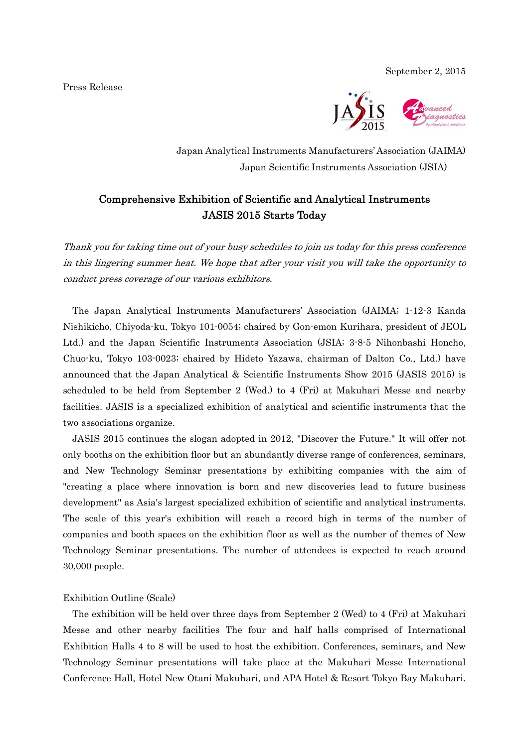Press Release



Japan Analytical Instruments Manufacturers' Association (JAIMA) Japan Scientific Instruments Association (JSIA)

# Comprehensive Exhibition of Scientific and Analytical Instruments JASIS 2015 Starts Today

Thank you for taking time out of your busy schedules to join us today for this press conference in this lingering summer heat. We hope that after your visit you will take the opportunity to conduct press coverage of our various exhibitors.

The Japan Analytical Instruments Manufacturers' Association (JAIMA; 1-12-3 Kanda Nishikicho, Chiyoda-ku, Tokyo 101-0054; chaired by Gon-emon Kurihara, president of JEOL Ltd.) and the Japan Scientific Instruments Association (JSIA; 3-8-5 Nihonbashi Honcho, Chuo-ku, Tokyo 103-0023; chaired by Hideto Yazawa, chairman of Dalton Co., Ltd.) have announced that the Japan Analytical & Scientific Instruments Show 2015 (JASIS 2015) is scheduled to be held from September 2 (Wed.) to 4 (Fri) at Makuhari Messe and nearby facilities. JASIS is a specialized exhibition of analytical and scientific instruments that the two associations organize.

JASIS 2015 continues the slogan adopted in 2012, "Discover the Future." It will offer not only booths on the exhibition floor but an abundantly diverse range of conferences, seminars, and New Technology Seminar presentations by exhibiting companies with the aim of "creating a place where innovation is born and new discoveries lead to future business development" as Asia's largest specialized exhibition of scientific and analytical instruments. The scale of this year's exhibition will reach a record high in terms of the number of companies and booth spaces on the exhibition floor as well as the number of themes of New Technology Seminar presentations. The number of attendees is expected to reach around 30,000 people.

# Exhibition Outline (Scale)

The exhibition will be held over three days from September 2 (Wed) to 4 (Fri) at Makuhari Messe and other nearby facilities The four and half halls comprised of International Exhibition Halls 4 to 8 will be used to host the exhibition. Conferences, seminars, and New Technology Seminar presentations will take place at the Makuhari Messe International Conference Hall, Hotel New Otani Makuhari, and APA Hotel & Resort Tokyo Bay Makuhari.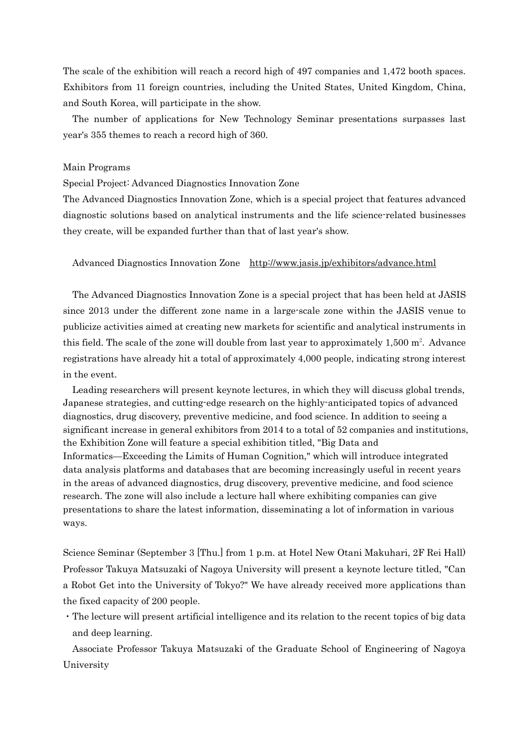The scale of the exhibition will reach a record high of 497 companies and 1,472 booth spaces. Exhibitors from 11 foreign countries, including the United States, United Kingdom, China, and South Korea, will participate in the show.

The number of applications for New Technology Seminar presentations surpasses last year's 355 themes to reach a record high of 360.

#### Main Programs

Special Project: Advanced Diagnostics Innovation Zone

The Advanced Diagnostics Innovation Zone, which is a special project that features advanced diagnostic solutions based on analytical instruments and the life science-related businesses they create, will be expanded further than that of last year's show.

#### Advanced Diagnostics Innovation Zone http://www.jasis.jp/exhibitors/advance.html

The Advanced Diagnostics Innovation Zone is a special project that has been held at JASIS since 2013 under the different zone name in a large-scale zone within the JASIS venue to publicize activities aimed at creating new markets for scientific and analytical instruments in this field. The scale of the zone will double from last year to approximately  $1,500$  m<sup>2</sup>. Advance registrations have already hit a total of approximately 4,000 people, indicating strong interest in the event.

Leading researchers will present keynote lectures, in which they will discuss global trends, Japanese strategies, and cutting-edge research on the highly-anticipated topics of advanced diagnostics, drug discovery, preventive medicine, and food science. In addition to seeing a significant increase in general exhibitors from 2014 to a total of 52 companies and institutions, the Exhibition Zone will feature a special exhibition titled, "Big Data and Informatics—Exceeding the Limits of Human Cognition," which will introduce integrated data analysis platforms and databases that are becoming increasingly useful in recent years in the areas of advanced diagnostics, drug discovery, preventive medicine, and food science research. The zone will also include a lecture hall where exhibiting companies can give presentations to share the latest information, disseminating a lot of information in various ways.

Science Seminar (September 3 [Thu.] from 1 p.m. at Hotel New Otani Makuhari, 2F Rei Hall) Professor Takuya Matsuzaki of Nagoya University will present a keynote lecture titled, "Can a Robot Get into the University of Tokyo?" We have already received more applications than the fixed capacity of 200 people.

・The lecture will present artificial intelligence and its relation to the recent topics of big data and deep learning.

Associate Professor Takuya Matsuzaki of the Graduate School of Engineering of Nagoya University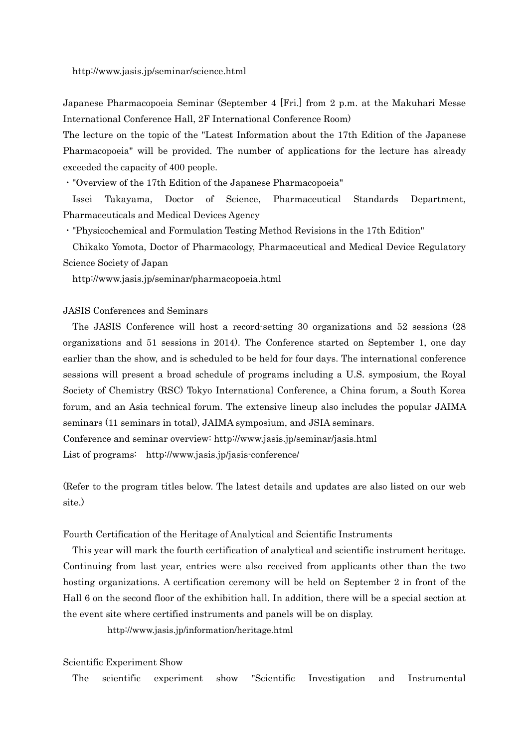http://www.jasis.jp/seminar/science.html

Japanese Pharmacopoeia Seminar (September 4 [Fri.] from 2 p.m. at the Makuhari Messe International Conference Hall, 2F International Conference Room)

The lecture on the topic of the "Latest Information about the 17th Edition of the Japanese Pharmacopoeia" will be provided. The number of applications for the lecture has already exceeded the capacity of 400 people.

・"Overview of the 17th Edition of the Japanese Pharmacopoeia"

Issei Takayama, Doctor of Science, Pharmaceutical Standards Department, Pharmaceuticals and Medical Devices Agency

・"Physicochemical and Formulation Testing Method Revisions in the 17th Edition"

Chikako Yomota, Doctor of Pharmacology, Pharmaceutical and Medical Device Regulatory Science Society of Japan

http://www.jasis.jp/seminar/pharmacopoeia.html

# JASIS Conferences and Seminars

The JASIS Conference will host a record-setting 30 organizations and 52 sessions (28 organizations and 51 sessions in 2014). The Conference started on September 1, one day earlier than the show, and is scheduled to be held for four days. The international conference sessions will present a broad schedule of programs including a U.S. symposium, the Royal Society of Chemistry (RSC) Tokyo International Conference, a China forum, a South Korea forum, and an Asia technical forum. The extensive lineup also includes the popular JAIMA seminars (11 seminars in total), JAIMA symposium, and JSIA seminars. Conference and seminar overview: http://www.jasis.jp/seminar/jasis.html

List of programs: http://www.jasis.jp/jasis-conference/

(Refer to the program titles below. The latest details and updates are also listed on our web site.)

#### Fourth Certification of the Heritage of Analytical and Scientific Instruments

This year will mark the fourth certification of analytical and scientific instrument heritage. Continuing from last year, entries were also received from applicants other than the two hosting organizations. A certification ceremony will be held on September 2 in front of the Hall 6 on the second floor of the exhibition hall. In addition, there will be a special section at the event site where certified instruments and panels will be on display.

http://www.jasis.jp/information/heritage.html

#### Scientific Experiment Show

The scientific experiment show "Scientific Investigation and Instrumental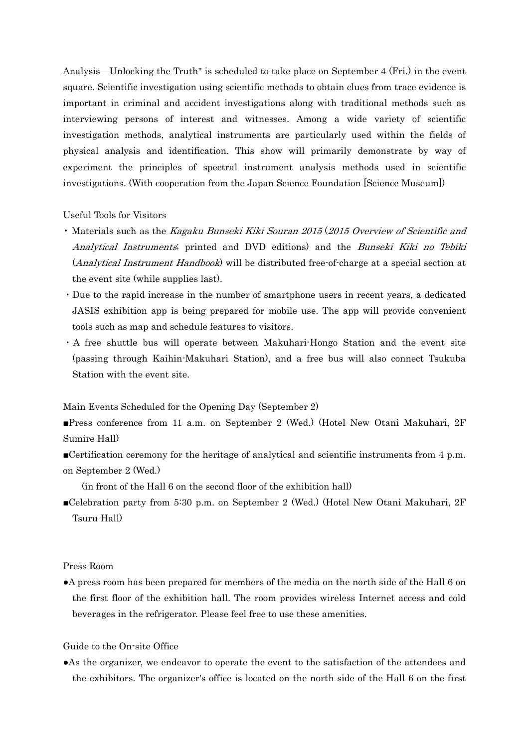Analysis—Unlocking the Truth" is scheduled to take place on September 4 (Fri.) in the event square. Scientific investigation using scientific methods to obtain clues from trace evidence is important in criminal and accident investigations along with traditional methods such as interviewing persons of interest and witnesses. Among a wide variety of scientific investigation methods, analytical instruments are particularly used within the fields of physical analysis and identification. This show will primarily demonstrate by way of experiment the principles of spectral instrument analysis methods used in scientific investigations. (With cooperation from the Japan Science Foundation [Science Museum])

## Useful Tools for Visitors

- Materials such as the Kagaku Bunseki Kiki Souran 2015 (2015 Overview of Scientific and Analytical Instruments; printed and DVD editions) and the Bunseki Kiki no Tebiki (Analytical Instrument Handbook) will be distributed free-of-charge at a special section at the event site (while supplies last).
- ・Due to the rapid increase in the number of smartphone users in recent years, a dedicated JASIS exhibition app is being prepared for mobile use. The app will provide convenient tools such as map and schedule features to visitors.
- ・A free shuttle bus will operate between Makuhari-Hongo Station and the event site (passing through Kaihin-Makuhari Station), and a free bus will also connect Tsukuba Station with the event site.

Main Events Scheduled for the Opening Day (September 2)

■Press conference from 11 a.m. on September 2 (Wed.) (Hotel New Otani Makuhari, 2F Sumire Hall)

■Certification ceremony for the heritage of analytical and scientific instruments from 4 p.m. on September 2 (Wed.)

(in front of the Hall 6 on the second floor of the exhibition hall)

■Celebration party from 5:30 p.m. on September 2 (Wed.) (Hotel New Otani Makuhari, 2F Tsuru Hall)

### Press Room

●A press room has been prepared for members of the media on the north side of the Hall 6 on the first floor of the exhibition hall. The room provides wireless Internet access and cold beverages in the refrigerator. Please feel free to use these amenities.

## Guide to the On-site Office

●As the organizer, we endeavor to operate the event to the satisfaction of the attendees and the exhibitors. The organizer's office is located on the north side of the Hall 6 on the first